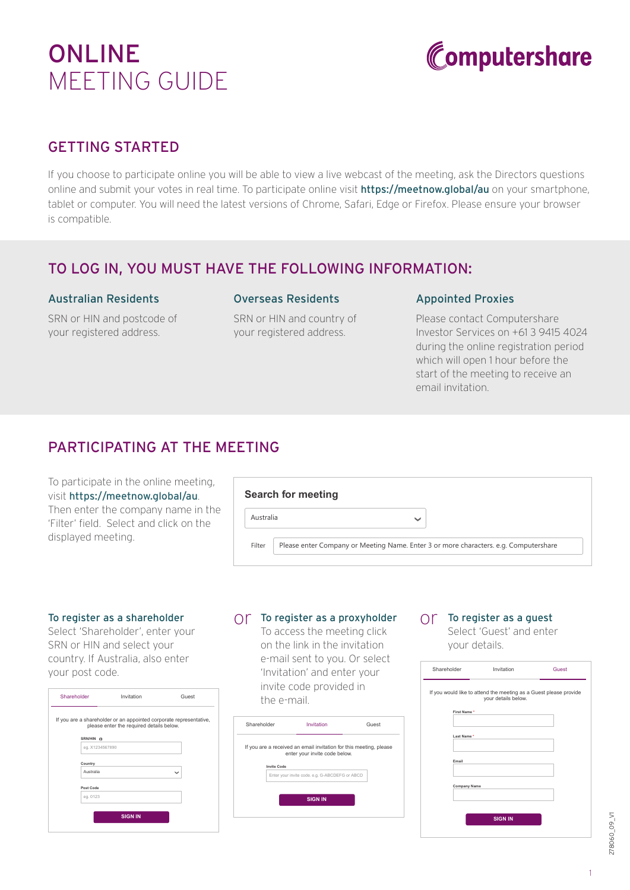# **ONLINE** MEETING GUIDE



## GETTING STARTED

If you choose to participate online you will be able to view a live webcast of the meeting, ask the Directors questions online and submit your votes in real time. To participate online visit **https://meetnow.global/au** on your smartphone, tablet or computer. You will need the latest versions of Chrome, Safari, Edge or Firefox. Please ensure your browser is compatible.

## TO LOG IN, YOU MUST HAVE THE FOLLOWING INFORMATION:

#### Australian Residents

SRN or HIN and postcode of your registered address.

#### Overseas Residents

SRN or HIN and country of your registered address.

#### Appointed Proxies

Please contact Computershare Investor Services on +61 3 9415 4024 during the online registration period which will open 1 hour before the start of the meeting to receive an email invitation.

## PARTICIPATING AT THE MEETING

To participate in the online meeting, visit https://meetnow.global/au. Then enter the company name in the 'Filter' field. Select and click on the displayed meeting.

|           | <b>Search for meeting</b>                                                            |  |
|-----------|--------------------------------------------------------------------------------------|--|
| Australia | $\checkmark$                                                                         |  |
| Filter    | Please enter Company or Meeting Name. Enter 3 or more characters. e.g. Computershare |  |

#### To register as a shareholder

Select 'Shareholder', enter your SRN or HIN and select your country. If Australia, also enter your post code.

| If you are a shareholder or an appointed corporate representative,<br>please enter the required details below. |              |
|----------------------------------------------------------------------------------------------------------------|--------------|
|                                                                                                                |              |
| eg. X1234567890                                                                                                |              |
|                                                                                                                |              |
|                                                                                                                | $\checkmark$ |
|                                                                                                                |              |
|                                                                                                                |              |
| <b>SIGN IN</b>                                                                                                 |              |
|                                                                                                                |              |

## $\bigcirc$  To register as a proxyholder  $\bigcirc$  To register as a guest

To access the meeting click on the link in the invitation e-mail sent to you. Or select 'Invitation' and enter your invite code provided in the e-mail.



Select 'Guest' and enter your details.

| Shareholder | Invitation                                                                               | Guest |
|-------------|------------------------------------------------------------------------------------------|-------|
|             | If you would like to attend the meeting as a Guest please provide<br>your details below. |       |
|             | First Name *                                                                             |       |
|             | Last Name*                                                                               |       |
| Email       |                                                                                          |       |
|             | <b>Company Name</b>                                                                      |       |
|             | <b>SIGN IN</b>                                                                           |       |

278060\_09\_V1 278060\_09\_V1